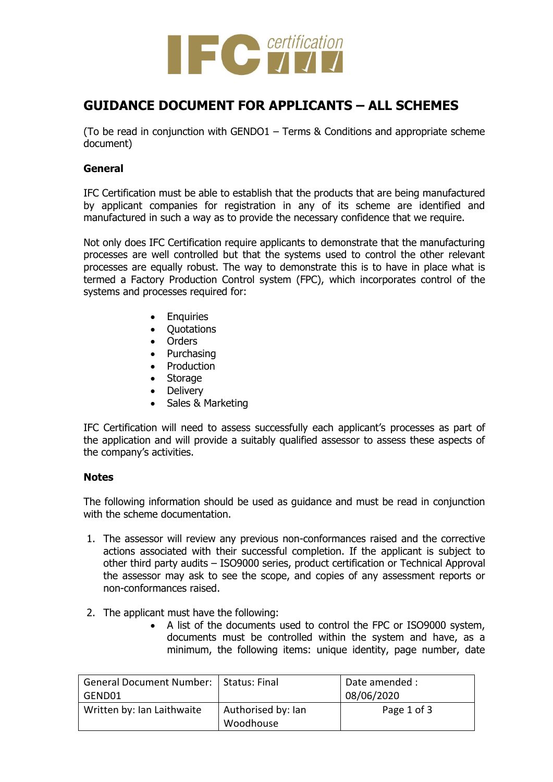

## **GUIDANCE DOCUMENT FOR APPLICANTS – ALL SCHEMES**

(To be read in conjunction with GENDO1 – Terms & Conditions and appropriate scheme document)

## **General**

IFC Certification must be able to establish that the products that are being manufactured by applicant companies for registration in any of its scheme are identified and manufactured in such a way as to provide the necessary confidence that we require.

Not only does IFC Certification require applicants to demonstrate that the manufacturing processes are well controlled but that the systems used to control the other relevant processes are equally robust. The way to demonstrate this is to have in place what is termed a Factory Production Control system (FPC), which incorporates control of the systems and processes required for:

- **•** Enquiries
- Quotations
- Orders
- Purchasing
- Production
- Storage
- Delivery
- Sales & Marketing

IFC Certification will need to assess successfully each applicant's processes as part of the application and will provide a suitably qualified assessor to assess these aspects of the company's activities.

## **Notes**

The following information should be used as guidance and must be read in conjunction with the scheme documentation.

- 1. The assessor will review any previous non-conformances raised and the corrective actions associated with their successful completion. If the applicant is subject to other third party audits – ISO9000 series, product certification or Technical Approval the assessor may ask to see the scope, and copies of any assessment reports or non-conformances raised.
- 2. The applicant must have the following:
	- A list of the documents used to control the FPC or ISO9000 system, documents must be controlled within the system and have, as a minimum, the following items: unique identity, page number, date

| General Document Number:   Status: Final |                                 | Date amended : |
|------------------------------------------|---------------------------------|----------------|
| l GEND01                                 |                                 | 08/06/2020     |
| Written by: Ian Laithwaite               | Authorised by: Ian<br>Woodhouse | Page 1 of 3    |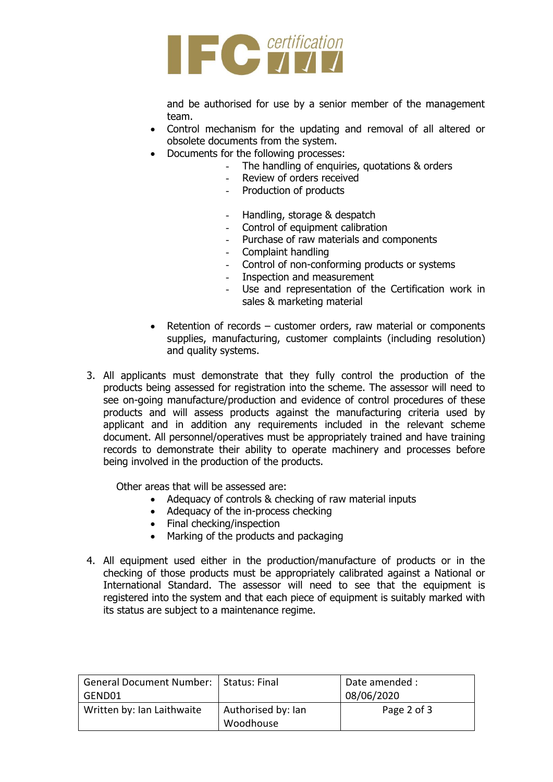

and be authorised for use by a senior member of the management team.

- Control mechanism for the updating and removal of all altered or obsolete documents from the system.
- Documents for the following processes:
	- The handling of enquiries, quotations & orders
	- Review of orders received
	- Production of products
	- Handling, storage & despatch
	- Control of equipment calibration
	- Purchase of raw materials and components
	- Complaint handling
	- Control of non-conforming products or systems
	- Inspection and measurement
	- Use and representation of the Certification work in sales & marketing material
- Retention of records customer orders, raw material or components supplies, manufacturing, customer complaints (including resolution) and quality systems.
- 3. All applicants must demonstrate that they fully control the production of the products being assessed for registration into the scheme. The assessor will need to see on-going manufacture/production and evidence of control procedures of these products and will assess products against the manufacturing criteria used by applicant and in addition any requirements included in the relevant scheme document. All personnel/operatives must be appropriately trained and have training records to demonstrate their ability to operate machinery and processes before being involved in the production of the products.

Other areas that will be assessed are:

- Adequacy of controls & checking of raw material inputs
- Adequacy of the in-process checking
- Final checking/inspection
- Marking of the products and packaging
- 4. All equipment used either in the production/manufacture of products or in the checking of those products must be appropriately calibrated against a National or International Standard. The assessor will need to see that the equipment is registered into the system and that each piece of equipment is suitably marked with its status are subject to a maintenance regime.

| General Document Number:   Status: Final |                    | Date amended : |
|------------------------------------------|--------------------|----------------|
| GEND01                                   |                    | 08/06/2020     |
| Written by: Ian Laithwaite               | Authorised by: Ian | Page 2 of 3    |
|                                          | Woodhouse          |                |